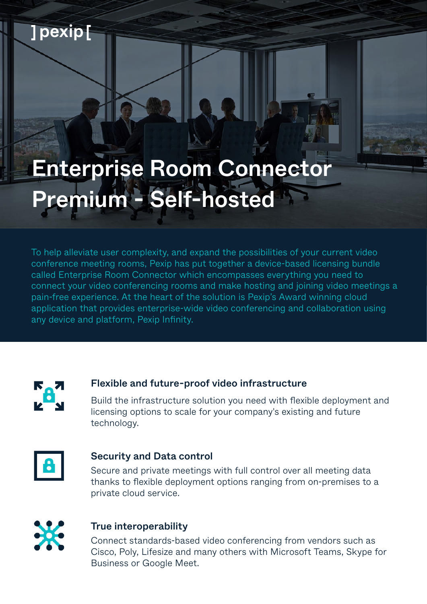# Enterprise Room Connector Premium - Self-hosted

To help alleviate user complexity, and expand the possibilities of your current video conference meeting rooms, Pexip has put together a device-based licensing bundle called Enterprise Room Connector which encompasses everything you need to connect your video conferencing rooms and make hosting and joining video meetings a pain-free experience. At the heart of the solution is Pexip's Award winning cloud application that provides enterprise-wide video conferencing and collaboration using any device and platform, Pexip Infinity.



] pexip [

## Flexible and future-proof video infrastructure

Build the infrastructure solution you need with flexible deployment and licensing options to scale for your company's existing and future technology.



#### Security and Data control

Secure and private meetings with full control over all meeting data thanks to flexible deployment options ranging from on-premises to a private cloud service.



### True interoperability

Connect standards-based video conferencing from vendors such as Cisco, Poly, Lifesize and many others with Microsoft Teams, Skype for Business or Google Meet.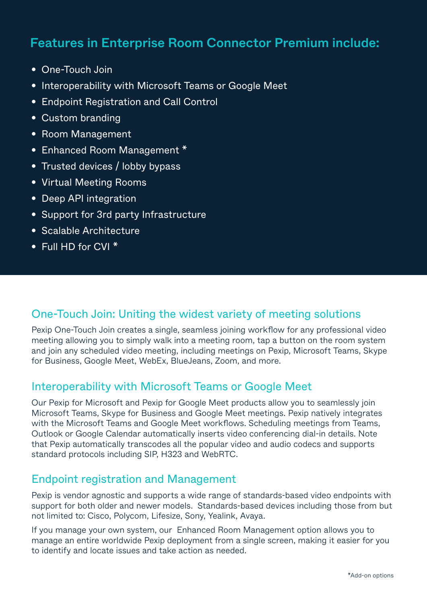# Features in Enterprise Room Connector Premium include:

- One-Touch Join
- Interoperability with Microsoft Teams or Google Meet
- Endpoint Registration and Call Control
- Custom branding
- Room Management
- Enhanced Room Management \*
- Trusted devices / lobby bypass
- Virtual Meeting Rooms
- Deep API integration
- Support for 3rd party Infrastructure
- Scalable Architecture
- Full HD for CVI \*

### One-Touch Join: Uniting the widest variety of meeting solutions

Pexip One-Touch Join creates a single, seamless joining workflow for any professional video meeting allowing you to simply walk into a meeting room, tap a button on the room system and join any scheduled video meeting, including meetings on Pexip, Microsoft Teams, Skype for Business, Google Meet, WebEx, BlueJeans, Zoom, and more.

## Interoperability with Microsoft Teams or Google Meet

Our Pexip for Microsoft and Pexip for Google Meet products allow you to seamlessly join Microsoft Teams, Skype for Business and Google Meet meetings. Pexip natively integrates with the Microsoft Teams and Google Meet workflows. Scheduling meetings from Teams, Outlook or Google Calendar automatically inserts video conferencing dial-in details. Note that Pexip automatically transcodes all the popular video and audio codecs and supports standard protocols including SIP, H323 and WebRTC.

### Endpoint registration and Management

Pexip is vendor agnostic and supports a wide range of standards-based video endpoints with support for both older and newer models. Standards-based devices including those from but not limited to: Cisco, Polycom, Lifesize, Sony, Yealink, Avaya.

If you manage your own system, our Enhanced Room Management option allows you to manage an entire worldwide Pexip deployment from a single screen, making it easier for you to identify and locate issues and take action as needed.